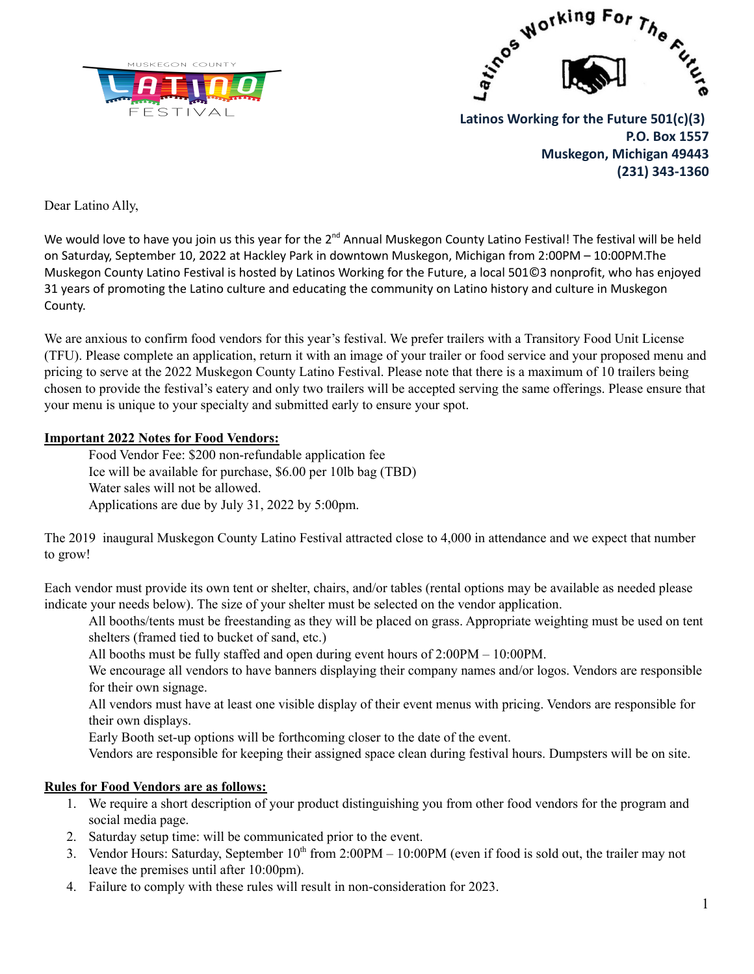



**Latinos Working for the Future 501(c)(3) P.O. Box 1557 Muskegon, Michigan 49443 (231) 343-1360**

Dear Latino Ally,

We would love to have you join us this year for the 2<sup>nd</sup> Annual Muskegon County Latino Festival! The festival will be held on Saturday, September 10, 2022 at Hackley Park in downtown Muskegon, Michigan from 2:00PM – 10:00PM.The Muskegon County Latino Festival is hosted by Latinos Working for the Future, a local 501©3 nonprofit, who has enjoyed 31 years of promoting the Latino culture and educating the community on Latino history and culture in Muskegon County.

We are anxious to confirm food vendors for this year's festival. We prefer trailers with a Transitory Food Unit License (TFU). Please complete an application, return it with an image of your trailer or food service and your proposed menu and pricing to serve at the 2022 Muskegon County Latino Festival. Please note that there is a maximum of 10 trailers being chosen to provide the festival's eatery and only two trailers will be accepted serving the same offerings. Please ensure that your menu is unique to your specialty and submitted early to ensure your spot.

## **Important 2022 Notes for Food Vendors:**

Food Vendor Fee: \$200 non-refundable application fee Ice will be available for purchase, \$6.00 per 10lb bag (TBD) Water sales will not be allowed. Applications are due by July 31, 2022 by 5:00pm.

The 2019 inaugural Muskegon County Latino Festival attracted close to 4,000 in attendance and we expect that number to grow!

Each vendor must provide its own tent or shelter, chairs, and/or tables (rental options may be available as needed please indicate your needs below). The size of your shelter must be selected on the vendor application.

All booths/tents must be freestanding as they will be placed on grass. Appropriate weighting must be used on tent shelters (framed tied to bucket of sand, etc.)

All booths must be fully staffed and open during event hours of 2:00PM – 10:00PM.

We encourage all vendors to have banners displaying their company names and/or logos. Vendors are responsible for their own signage.

All vendors must have at least one visible display of their event menus with pricing. Vendors are responsible for their own displays.

Early Booth set-up options will be forthcoming closer to the date of the event.

Vendors are responsible for keeping their assigned space clean during festival hours. Dumpsters will be on site.

## **Rules for Food Vendors are as follows:**

- 1. We require a short description of your product distinguishing you from other food vendors for the program and social media page.
- 2. Saturday setup time: will be communicated prior to the event.
- 3. Vendor Hours: Saturday, September  $10<sup>th</sup>$  from 2:00PM 10:00PM (even if food is sold out, the trailer may not leave the premises until after 10:00pm).
- 4. Failure to comply with these rules will result in non-consideration for 2023.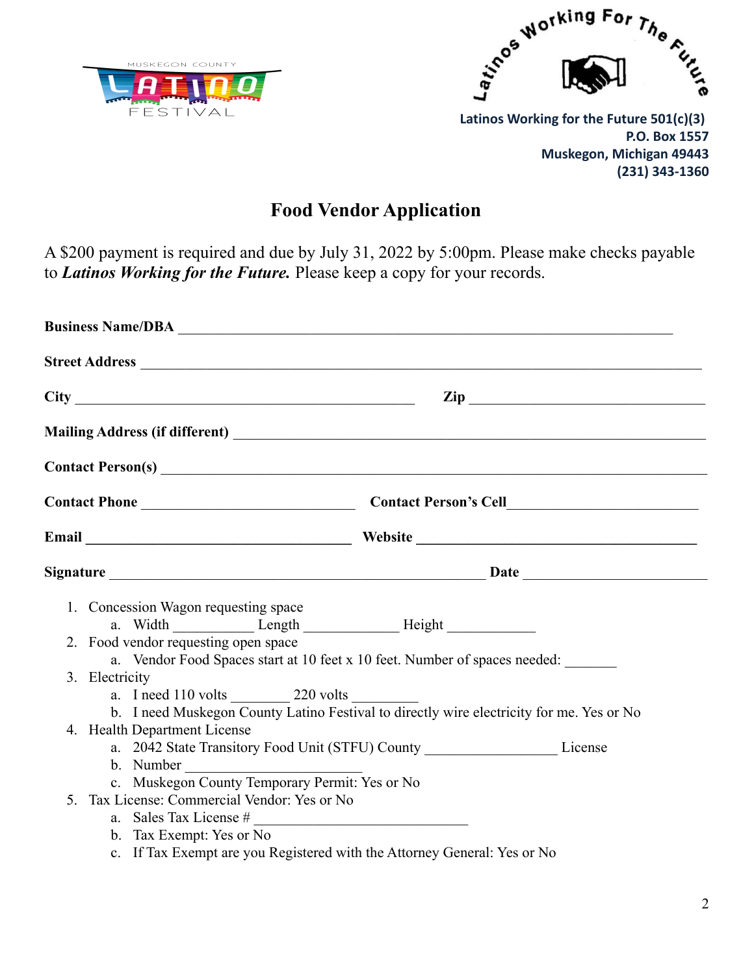



**(231) 343-1360**

**Food Vendor Application**

A \$200 payment is required and due by July 31, 2022 by 5:00pm. Please make checks payable to *Latinos Working for the Future.* Please keep a copy for your records.

|  | 1. Concession Wagon requesting space<br>2. Food vendor requesting open space<br>3. Electricity<br>a. I need 110 volts 220 volts<br>4. Health Department License | a. Vendor Food Spaces start at 10 feet x 10 feet. Number of spaces needed:<br>b. I need Muskegon County Latino Festival to directly wire electricity for me. Yes or No<br>a. 2042 State Transitory Food Unit (STFU) County ________________________License |  |
|--|-----------------------------------------------------------------------------------------------------------------------------------------------------------------|------------------------------------------------------------------------------------------------------------------------------------------------------------------------------------------------------------------------------------------------------------|--|
|  | 5. Tax License: Commercial Vendor: Yes or No<br>b. Tax Exempt: Yes or No<br>c. If Tax Exempt are you Registered with the Attorney General: Yes or No            |                                                                                                                                                                                                                                                            |  |